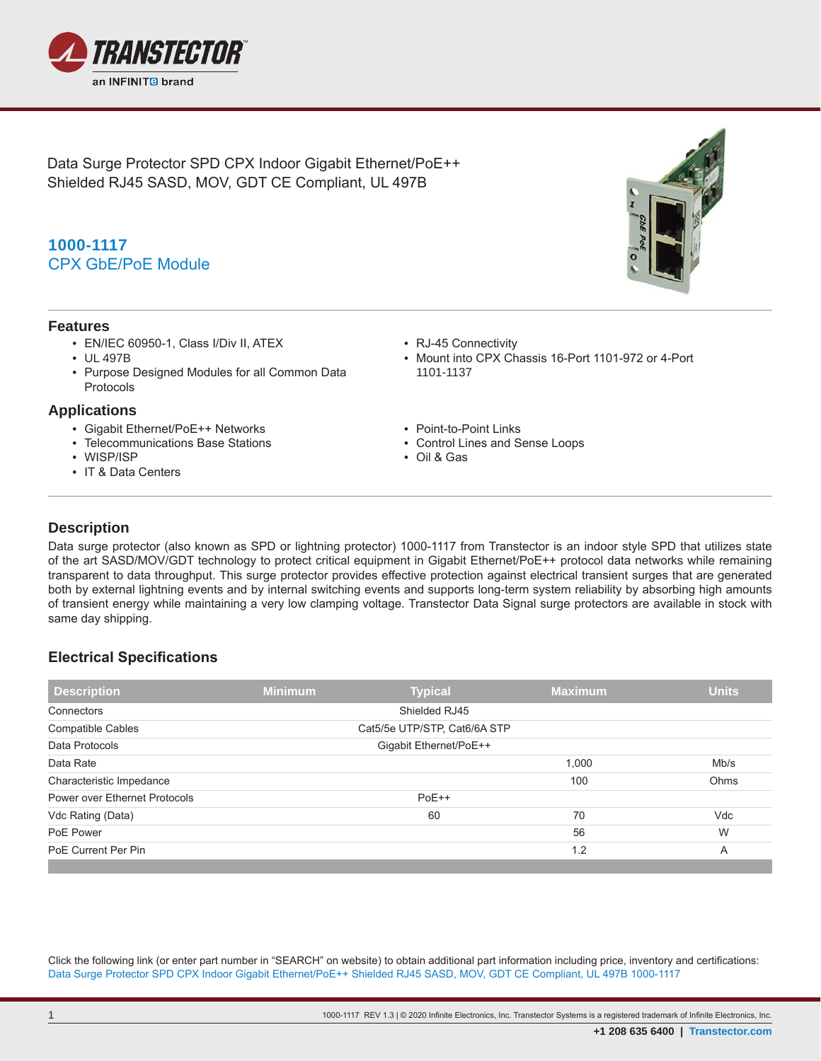

Data Surge Protector SPD CPX Indoor Gigabit Ethernet/PoE++ Shielded RJ45 SASD, MOV, GDT CE Compliant, UL 497B

# **1000-1117** CPX GbE/PoE Module

#### **Features**

- EN/IEC 60950-1, Class I/Div II, ATEX
- UL 497B
- Purpose Designed Modules for all Common Data Protocols

#### **Applications**

- Gigabit Ethernet/PoE++ Networks
- Telecommunications Base Stations
- WISP/ISP
- IT & Data Centers
- RJ-45 Connectivity
- Mount into CPX Chassis 16-Port 1101-972 or 4-Port 1101-1137
- Point-to-Point Links
- Control Lines and Sense Loops
- Oil & Gas

### **Description**

**.**

Data surge protector (also known as SPD or lightning protector) 1000-1117 from Transtector is an indoor style SPD that utilizes state of the art SASD/MOV/GDT technology to protect critical equipment in Gigabit Ethernet/PoE++ protocol data networks while remaining transparent to data throughput. This surge protector provides effective protection against electrical transient surges that are generated both by external lightning events and by internal switching events and supports long-term system reliability by absorbing high amounts of transient energy while maintaining a very low clamping voltage. Transtector Data Signal surge protectors are available in stock with same day shipping.

### **Electrical Specifications**

| Description                   | <b>Minimum</b>               | <b>Typical</b> | <b>Maximum</b> | <b>Units</b> |  |
|-------------------------------|------------------------------|----------------|----------------|--------------|--|
| Connectors                    |                              | Shielded RJ45  |                |              |  |
| <b>Compatible Cables</b>      | Cat5/5e UTP/STP, Cat6/6A STP |                |                |              |  |
| Data Protocols                | Gigabit Ethernet/PoE++       |                |                |              |  |
| Data Rate                     |                              |                | 1,000          | Mb/s         |  |
| Characteristic Impedance      |                              |                | 100            | Ohms         |  |
| Power over Ethernet Protocols |                              | $PoE++$        |                |              |  |
| Vdc Rating (Data)             |                              | 60             | 70             | Vdc          |  |
| PoE Power                     |                              |                | 56             | W            |  |
| PoE Current Per Pin           |                              |                | 1.2            | A            |  |

Click the following link (or enter part number in "SEARCH" on website) to obtain additional part information including price, inventory and certifications: Data Surge Protector SPD CPX Indoor Gigabit Ethernet/PoE++ Shielded RJ45 SASD, MOV, GDT CE Compliant, UL 497B 1000-1117

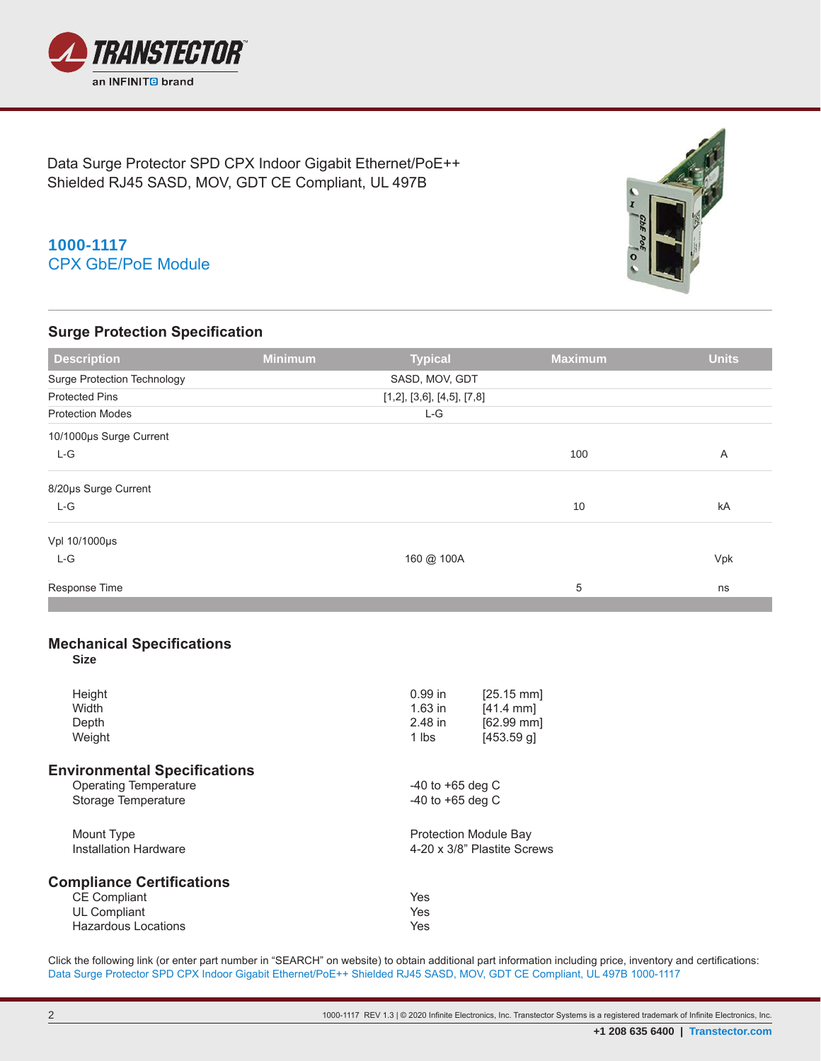

Data Surge Protector SPD CPX Indoor Gigabit Ethernet/PoE++ Shielded RJ45 SASD, MOV, GDT CE Compliant, UL 497B

## **1000-1117** CPX GbE/PoE Module

### **Surge Protection Specification**



| <b>Description</b>                              | <b>Minimum</b> | <b>Typical</b>             | <b>Maximum</b>       | <b>Units</b> |  |  |  |
|-------------------------------------------------|----------------|----------------------------|----------------------|--------------|--|--|--|
| <b>Surge Protection Technology</b>              |                | SASD, MOV, GDT             |                      |              |  |  |  |
| <b>Protected Pins</b>                           |                | [1,2], [3,6], [4,5], [7,8] |                      |              |  |  |  |
| <b>Protection Modes</b>                         |                | $L-G$                      |                      |              |  |  |  |
| 10/1000µs Surge Current                         |                |                            |                      |              |  |  |  |
| L-G                                             |                |                            | 100                  | A            |  |  |  |
| 8/20µs Surge Current                            |                |                            |                      |              |  |  |  |
| L-G                                             |                |                            | 10                   | kA           |  |  |  |
| Vpl 10/1000µs                                   |                |                            |                      |              |  |  |  |
| $L-G$                                           |                | 160 @ 100A                 |                      | Vpk          |  |  |  |
| Response Time                                   |                |                            | 5                    | ns           |  |  |  |
| <b>Mechanical Specifications</b><br><b>Size</b> |                |                            |                      |              |  |  |  |
| Height                                          |                | $0.99$ in                  | $[25.15 \text{ mm}]$ |              |  |  |  |

|           | 125.15 mm                    |  |  |
|-----------|------------------------------|--|--|
| $1.63$ in | $[41.4 \text{ mm}]$          |  |  |
| 2.48 in   | [62.99 mm]                   |  |  |
| 1 lbs     | $[453.59$ q]                 |  |  |
|           |                              |  |  |
|           | $-40$ to $+65$ deg C         |  |  |
|           | $-40$ to $+65$ deg C         |  |  |
|           | <b>Protection Module Bay</b> |  |  |
|           | 4-20 x 3/8" Plastite Screws  |  |  |
|           |                              |  |  |
| Yes       |                              |  |  |
| Yes       |                              |  |  |
| Yes       |                              |  |  |
|           | <u>0.99 in</u>               |  |  |

Click the following link (or enter part number in "SEARCH" on website) to obtain additional part information including price, inventory and certifications: Data Surge Protector SPD CPX Indoor Gigabit Ethernet/PoE++ Shielded RJ45 SASD, MOV, GDT CE Compliant, UL 497B 1000-1117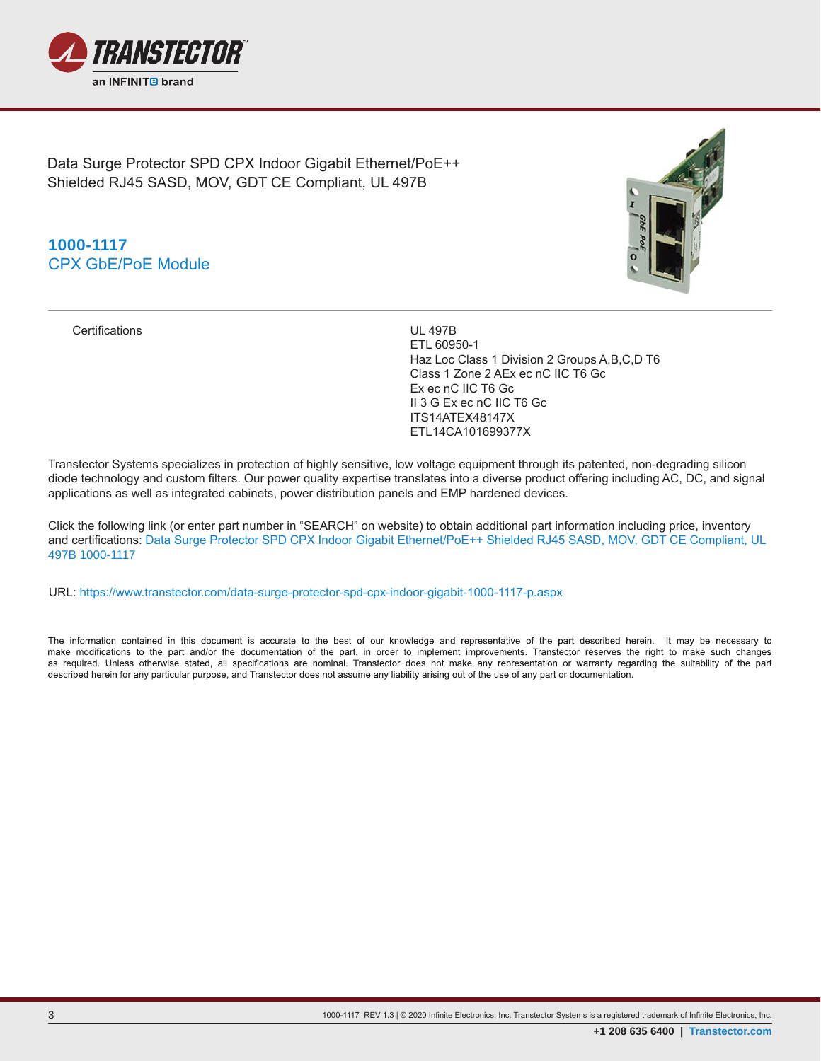

Data Surge Protector SPD CPX Indoor Gigabit Ethernet/PoE++ Shielded RJ45 SASD, MOV, GDT CE Compliant, UL 497B

## **1000-1117** CPX GbE/PoE Module



Certifications UL 497B

ETL 60950-1 Haz Loc Class 1 Division 2 Groups A,B,C,D T6 Class 1 Zone 2 AEx ec nC IIC T6 Gc Ex ec nC IIC T6 Gc II 3 G Ex ec nC IIC T6 Gc ITS14ATEX48147X ETL14CA101699377X

Transtector Systems specializes in protection of highly sensitive, low voltage equipment through its patented, non-degrading silicon diode technology and custom filters. Our power quality expertise translates into a diverse product offering including AC, DC, and signal applications as well as integrated cabinets, power distribution panels and EMP hardened devices.

Click the following link (or enter part number in "SEARCH" on website) to obtain additional part information including price, inventory and certifications: Data Surge Protector SPD CPX Indoor Gigabit Ethernet/PoE++ Shielded RJ45 SASD, MOV, GDT CE Compliant, UL 497B 1000-1117

URL: https://www.transtector.com/data-surge-protector-spd-cpx-indoor-gigabit-1000-1117-p.aspx

The information contained in this document is accurate to the best of our knowledge and representative of the part described herein. It may be necessary to make modifications to the part and/or the documentation of the part, in order to implement improvements. Transtector reserves the right to make such changes as required. Unless otherwise stated, all specifications are nominal. Transtector does not make any representation or warranty regarding the suitability of the part described herein for any particular purpose, and Transtector does not assume any liability arising out of the use of any part or documentation.